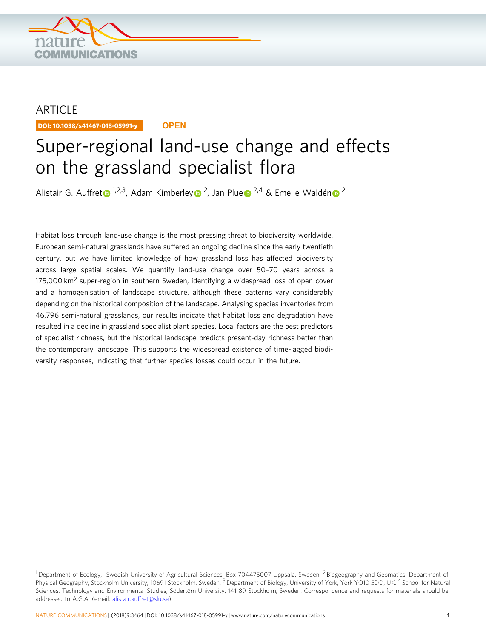

## ARTICLE

DOI: 10.1038/s41467-018-05991-y **OPEN**

# Super-regional land-use change and effects on the grassland specialist flora

Alis[t](http://orcid.org/0000-0002-4190-4423)air G. Auffret <sup>[1](http://orcid.org/0000-0002-4190-4423),2,3</sup>, Adam Kimberle[y](http://orcid.org/0000-0002-0807-9943) <sup>2</sup>, Jan Plu[e](http://orcid.org/0000-0002-6999-669X) <sup>2,4</sup> & Emelie Waldé[n](http://orcid.org/0000-0002-9180-2994) <sup>[2](http://orcid.org/0000-0002-9180-2994)</sup>

Habitat loss through land-use change is the most pressing threat to biodiversity worldwide. European semi-natural grasslands have suffered an ongoing decline since the early twentieth century, but we have limited knowledge of how grassland loss has affected biodiversity across large spatial scales. We quantify land-use change over 50–70 years across a 175,000 km<sup>2</sup> super-region in southern Sweden, identifying a widespread loss of open cover and a homogenisation of landscape structure, although these patterns vary considerably depending on the historical composition of the landscape. Analysing species inventories from 46,796 semi-natural grasslands, our results indicate that habitat loss and degradation have resulted in a decline in grassland specialist plant species. Local factors are the best predictors of specialist richness, but the historical landscape predicts present-day richness better than the contemporary landscape. This supports the widespread existence of time-lagged biodiversity responses, indicating that further species losses could occur in the future.

<sup>&</sup>lt;sup>1</sup> Department of Ecology, Swedish University of Agricultural Sciences, Box 704475007 Uppsala, Sweden. <sup>2</sup> Biogeography and Geomatics, Department of Physical Geography, Stockholm University, 10691 Stockholm, Sweden. <sup>3</sup> Department of Biology, University of York, York YO10 5DD, UK. <sup>4</sup> School for Natural Sciences, Technology and Environmental Studies, Södertörn University, 141 89 Stockholm, Sweden. Correspondence and requests for materials should be addressed to A.G.A. (email: alistair.auffret@slu.se)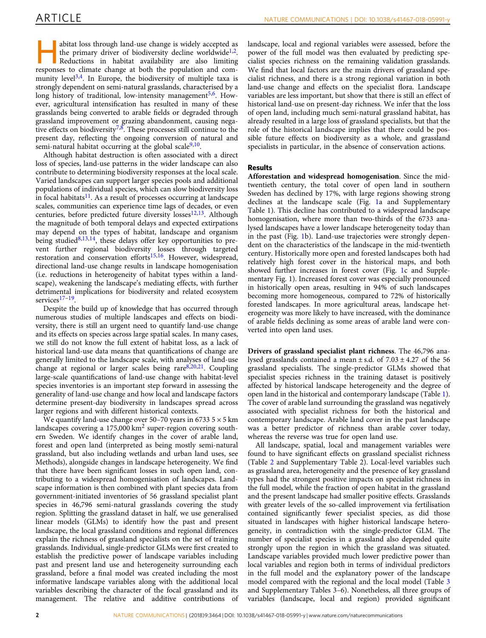abitat loss through land-use change is widely accepted as the primary driver of biodiversity decline worldwide<sup>[1](#page-5-0),2</sup>. Reductions in habitat availability are also limiting responses to climate change at both the population and com-munity level<sup>[3,4](#page-5-0)</sup>. In Europe, the biodiversity of multiple taxa is strongly dependent on semi-natural grasslands, characterised by a long history of traditional, low-intensity management<sup>5,6</sup>. However, agricultural intensification has resulted in many of these grasslands being converted to arable fields or degraded through grassland improvement or grazing abandonment, causing nega-tive effects on biodiversity<sup>[7,8](#page-5-0)</sup>. These processes still continue to the present day, reflecting the ongoing conversion of natural and semi-natural habitat occurring at the global scale $9,10$ .

Although habitat destruction is often associated with a direct loss of species, land-use patterns in the wider landscape can also contribute to determining biodiversity responses at the local scale. Varied landscapes can support larger species pools and additional populations of individual species, which can slow biodiversity loss in focal habitats $11$ . As a result of processes occurring at landscape scales, communities can experience time lags of decades, or even centuries, before predicted future diversity losses<sup>[12](#page-5-0),[13](#page-5-0)</sup>. Although the magnitude of both temporal delays and expected extirpations may depend on the types of habitat, landscape and organism being studied $8,13,14$ , these delays offer key opportunities to prevent further regional biodiversity losses through targeted restoration and conservation efforts<sup>15,[16](#page-5-0)</sup>. However, widespread, directional land-use change results in landscape homogenisation (i.e. reductions in heterogeneity of habitat types within a landscape), weakening the landscape's mediating effects, with further detrimental implications for biodiversity and related ecosystem services<sup>[17](#page-5-0)–19</sup>.

Despite the build up of knowledge that has occurred through numerous studies of multiple landscapes and effects on biodiversity, there is still an urgent need to quantify land-use change and its effects on species across large spatial scales. In many cases, we still do not know the full extent of habitat loss, as a lack of historical land-use data means that quantifications of change are generally limited to the landscape scale, with analyses of land-use change at regional or larger scales being rare<sup>8,20,21</sup>. Coupling large-scale quantifications of land-use change with habitat-level species inventories is an important step forward in assessing the generality of land-use change and how local and landscape factors determine present-day biodiversity in landscapes spread across larger regions and with different historical contexts.

We quantify land-use change over 50–70 years in 6733  $5 \times 5$  km landscapes covering a  $175,000$  km<sup>2</sup> super-region covering southern Sweden. We identify changes in the cover of arable land, forest and open land (interpreted as being mostly semi-natural grassland, but also including wetlands and urban land uses, see Methods), alongside changes in landscape heterogeneity. We find that there have been significant losses in such open land, contributing to a widespread homogenisation of landscapes. Landscape information is then combined with plant species data from government-initiated inventories of 56 grassland specialist plant species in 46,796 semi-natural grasslands covering the study region. Splitting the grassland dataset in half, we use generalised linear models (GLMs) to identify how the past and present landscape, the local grassland conditions and regional differences explain the richness of grassland specialists on the set of training grasslands. Individual, single-predictor GLMs were first created to establish the predictive power of landscape variables including past and present land use and heterogeneity surrounding each grassland, before a final model was created including the most informative landscape variables along with the additional local variables describing the character of the focal grassland and its management. The relative and additive contributions of

landscape, local and regional variables were assessed, before the power of the full model was then evaluated by predicting specialist species richness on the remaining validation grasslands. We find that local factors are the main drivers of grassland specialist richness, and there is a strong regional variation in both land-use change and effects on the specialist flora. Landscape variables are less important, but show that there is still an effect of historical land-use on present-day richness. We infer that the loss of open land, including much semi-natural grassland habitat, has already resulted in a large loss of grassland specialists, but that the role of the historical landscape implies that there could be possible future effects on biodiversity as a whole, and grassland specialists in particular, in the absence of conservation actions.

### Results

Afforestation and widespread homogenisation. Since the midtwentieth century, the total cover of open land in southern Sweden has declined by 17%, with large regions showing strong declines at the landscape scale (Fig. [1](#page-2-0)a and Supplementary Table 1). This decline has contributed to a widespread landscape homogenisation, where more than two-thirds of the 6733 analysed landscapes have a lower landscape heterogeneity today than in the past (Fig. [1b](#page-2-0)). Land-use trajectories were strongly dependent on the characteristics of the landscape in the mid-twentieth century. Historically more open and forested landscapes both had relatively high forest cover in the historical maps, and both showed further increases in forest cover (Fig. [1](#page-2-0)c and Supplementary Fig. 1). Increased forest cover was especially pronounced in historically open areas, resulting in 94% of such landscapes becoming more homogeneous, compared to 72% of historically forested landscapes. In more agricultural areas, landscape heterogeneity was more likely to have increased, with the dominance of arable fields declining as some areas of arable land were converted into open land uses.

Drivers of grassland specialist plant richness. The 46,796 analysed grasslands contained a mean  $\pm$  s.d. of 7.03  $\pm$  4.27 of the 56 grassland specialists. The single-predictor GLMs showed that specialist species richness in the training dataset is positively affected by historical landscape heterogeneity and the degree of open land in the historical and contemporary landscape (Table [1](#page-2-0)). The cover of arable land surrounding the grassland was negatively associated with specialist richness for both the historical and contemporary landscape. Arable land cover in the past landscape was a better predictor of richness than arable cover today, whereas the reverse was true for open land use.

All landscape, spatial, local and management variables were found to have significant effects on grassland specialist richness (Table [2](#page-3-0) and Supplementary Table 2). Local-level variables such as grassland area, heterogeneity and the presence of key grassland types had the strongest positive impacts on specialist richness in the full model, while the fraction of open habitat in the grassland and the present landscape had smaller positive effects. Grasslands with greater levels of the so-called improvement via fertilisation contained significantly fewer specialist species, as did those situated in landscapes with higher historical landscape heterogeneity, in contradiction with the single-predictor GLM. The number of specialist species in a grassland also depended quite strongly upon the region in which the grassland was situated. Landscape variables provided much lower predictive power than local variables and region both in terms of individual predictors in the full model and the explanatory power of the landscape model compared with the regional and the local model (Table [3](#page-3-0) and Supplementary Tables 3–6). Nonetheless, all three groups of variables (landscape, local and region) provided significant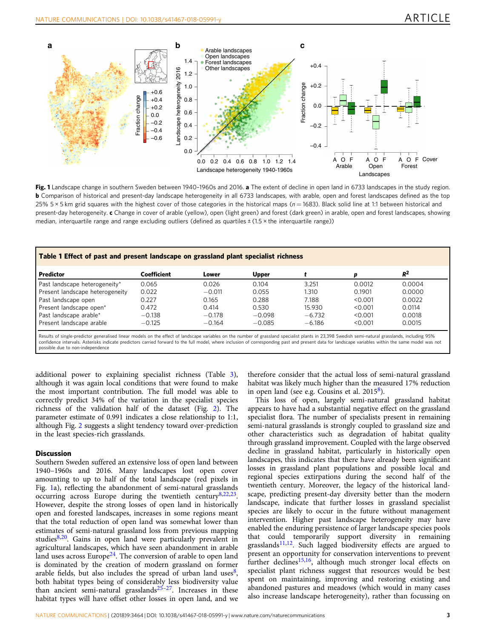<span id="page-2-0"></span>

Fig. 1 Landscape change in southern Sweden between 1940-1960s and 2016. a The extent of decline in open land in 6733 landscapes in the study region. **b** Comparison of historical and present-day landscape heterogeneity in all 6733 landscapes, with arable, open and forest landscapes defined as the top 25% 5 × 5 km grid squares with the highest cover of those categories in the historical maps ( $n = 1683$ ). Black solid line at 1:1 between historical and present-day heterogeneity. c Change in cover of arable (yellow), open (light green) and forest (dark green) in arable, open and forest landscapes, showing median, interquartile range and range excluding outliers (defined as quartiles  $\pm$  (1.5 × the interquartile range))

| Table 1 Effect of past and present landscape on grassland plant specialist richness |             |          |              |          |         |        |  |  |  |
|-------------------------------------------------------------------------------------|-------------|----------|--------------|----------|---------|--------|--|--|--|
| Predictor                                                                           | Coefficient | Lower    | <b>Upper</b> |          | D       | $R^2$  |  |  |  |
| Past landscape heterogeneity*                                                       | 0.065       | 0.026    | 0.104        | 3.251    | 0.0012  | 0.0004 |  |  |  |
| Present landscape heterogeneity                                                     | 0.022       | $-0.011$ | 0.055        | 1.310    | 0.1901  | 0.0000 |  |  |  |
| Past landscape open                                                                 | 0.227       | 0.165    | 0.288        | 7.188    | < 0.001 | 0.0022 |  |  |  |
| Present landscape open*                                                             | 0.472       | 0.414    | 0.530        | 15.930   | < 0.001 | 0.0114 |  |  |  |
| Past landscape arable*                                                              | $-0.138$    | $-0.178$ | $-0.098$     | $-6.732$ | < 0.001 | 0.0018 |  |  |  |
| Present landscape arable                                                            | $-0.125$    | $-0.164$ | $-0.085$     | $-6.186$ | < 0.001 | 0.0015 |  |  |  |

Results of single-predictor generalised linear models on the effect of landscape variables on the number of grassland specialist plants in 23,398 Swedish semi-natural grasslands, including 95% confidence intervals. Asterisks indicate predictors carried forward to the full model, where inclusion of corresponding past and present data for landscape variables within the same model was not possible due to non-independence

additional power to explaining specialist richness (Table [3](#page-3-0)), although it was again local conditions that were found to make the most important contribution. The full model was able to correctly predict 34% of the variation in the specialist species richness of the validation half of the dataset (Fig. [2\)](#page-4-0). The parameter estimate of 0.991 indicates a close relationship to 1:1, although Fig. [2](#page-4-0) suggests a slight tendency toward over-prediction in the least species-rich grasslands.

### **Discussion**

Southern Sweden suffered an extensive loss of open land between 1940–1960s and 2016. Many landscapes lost open cover amounting to up to half of the total landscape (red pixels in Fig. 1a), reflecting the abandonment of semi-natural grasslands occurring across Europe during the twentieth century[8,22,23.](#page-5-0) However, despite the strong losses of open land in historically open and forested landscapes, increases in some regions meant that the total reduction of open land was somewhat lower than estimates of semi-natural grassland loss from previous mapping studies<sup>[8](#page-5-0),[20](#page-5-0)</sup>. Gains in open land were particularly prevalent in agricultural landscapes, which have seen abandonment in arable land uses across Europe $24$ . The conversion of arable to open land is dominated by the creation of modern grassland on former arable fields, but also includes the spread of urban land uses $\delta$ , both habitat types being of considerably less biodiversity value than ancient semi-natural grasslands $25-27$  $25-27$ . Increases in these habitat types will have offset other losses in open land, and we

therefore consider that the actual loss of semi-natural grassland habitat was likely much higher than the measured 17% reduction in open land (see e.g. Cousins et al. 2015[8](#page-5-0)).

This loss of open, largely semi-natural grassland habitat appears to have had a substantial negative effect on the grassland specialist flora. The number of specialists present in remaining semi-natural grasslands is strongly coupled to grassland size and other characteristics such as degradation of habitat quality through grassland improvement. Coupled with the large observed decline in grassland habitat, particularly in historically open landscapes, this indicates that there have already been significant losses in grassland plant populations and possible local and regional species extirpations during the second half of the twentieth century. Moreover, the legacy of the historical landscape, predicting present-day diversity better than the modern landscape, indicate that further losses in grassland specialist species are likely to occur in the future without management intervention. Higher past landscape heterogeneity may have enabled the enduring persistence of larger landscape species pools that could temporarily support diversity in remaining grasslands $11,12$ . Such lagged biodiversity effects are argued to present an opportunity for conservation interventions to prevent further declines<sup>15,16</sup>, although much stronger local effects on specialist plant richness suggest that resources would be best spent on maintaining, improving and restoring existing and abandoned pastures and meadows (which would in many cases also increase landscape heterogeneity), rather than focussing on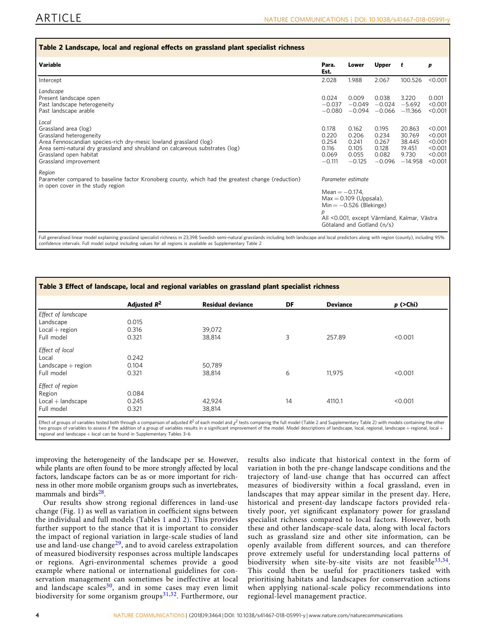<span id="page-3-0"></span>

| Variable                                                                                                                                                                                                                                                         | Para.<br>Est.                                                                                                                                                                      | Lower                                                 | <b>Upper</b>                                          | t                                                          | p                                                              |
|------------------------------------------------------------------------------------------------------------------------------------------------------------------------------------------------------------------------------------------------------------------|------------------------------------------------------------------------------------------------------------------------------------------------------------------------------------|-------------------------------------------------------|-------------------------------------------------------|------------------------------------------------------------|----------------------------------------------------------------|
| Intercept                                                                                                                                                                                                                                                        | 2.028                                                                                                                                                                              | 1.988                                                 | 2.067                                                 | 100.526                                                    | < 0.001                                                        |
| Landscape<br>Present landscape open<br>Past landscape heterogeneity<br>Past landscape arable                                                                                                                                                                     | 0.024<br>$-0.037$<br>$-0.080$                                                                                                                                                      | 0.009<br>$-0.049$<br>$-0.094$                         | 0.038<br>$-0.024$                                     | 3.220<br>$-5.692$<br>$-0.066$ $-11.366$                    | 0.001<br>< 0.001<br>< 0.001                                    |
| Local<br>Grassland area (log)<br>Grassland heterogeneity<br>Area Fennoscandian species-rich dry-mesic lowland grassland (log)<br>Area semi-natural dry grassland and shrubland on calcareous substrates (log)<br>Grassland open habitat<br>Grassland improvement | 0.178<br>0.220<br>0.254<br>0.116<br>0.069<br>$-0.111$                                                                                                                              | 0.162<br>0.206<br>0.241<br>0.105<br>0.055<br>$-0.125$ | 0.195<br>0.234<br>0.267<br>0.128<br>0.082<br>$-0.096$ | 20.863<br>30.769<br>38.445<br>19.451<br>9.730<br>$-14.958$ | < 0.001<br>< 0.001<br>< 0.001<br>< 0.001<br>< 0.001<br>< 0.001 |
| Region<br>Parameter compared to baseline factor Kronoberg county, which had the greatest change (reduction)<br>in open cover in the study region                                                                                                                 | Parameter estimate<br>Mean $= -0.174$ .<br>$Max = 0.109$ (Uppsala),<br>$Min = -0.526$ (Blekinge)<br>D<br>All <0.001, except Värmland, Kalmar, Västra<br>Götaland and Gotland (n/s) |                                                       |                                                       |                                                            |                                                                |

| Table 3 Effect of landscape, local and regional variables on grassland plant specialist richness |                |                          |    |                 |            |  |  |  |
|--------------------------------------------------------------------------------------------------|----------------|--------------------------|----|-----------------|------------|--|--|--|
|                                                                                                  | Adjusted $R^2$ | <b>Residual deviance</b> | DF | <b>Deviance</b> | $p$ (>Chi) |  |  |  |
| Effect of landscape                                                                              |                |                          |    |                 |            |  |  |  |
| Landscape                                                                                        | 0.015          |                          |    |                 |            |  |  |  |
| $Local + region$                                                                                 | 0.316          | 39.072                   |    |                 |            |  |  |  |
| Full model                                                                                       | 0.321          | 38,814                   | 3  | 257.89          | < 0.001    |  |  |  |
| Effect of local                                                                                  |                |                          |    |                 |            |  |  |  |
| Local                                                                                            | 0.242          |                          |    |                 |            |  |  |  |
| $Landscape + region$                                                                             | 0.104          | 50.789                   |    |                 |            |  |  |  |
| Full model                                                                                       | 0.321          | 38,814                   | 6  | 11.975          | < 0.001    |  |  |  |
| Effect of region                                                                                 |                |                          |    |                 |            |  |  |  |
| Region                                                                                           | 0.084          |                          |    |                 |            |  |  |  |
| $Local + landscape$                                                                              | 0.245          | 42,924                   | 14 | 4110.1          | < 0.001    |  |  |  |
| Full model                                                                                       | 0.321          | 38,814                   |    |                 |            |  |  |  |

Effect of groups of variables tested both through a comparison of adjusted  $R^2$  of each model and  $\chi^2$  tests comparing the full model (Table 2 and Supplementary Table 2) with models containing the other two groups of variables to assess if the addition of a group of variables results in a significant improvement of the model. Model descriptions of landscape, local, regional, landscape + regional, local regional and landscape + local can be found in Supplementary Tables 3–6

improving the heterogeneity of the landscape per se. However, while plants are often found to be more strongly affected by local factors, landscape factors can be as or more important for richness in other more mobile organism groups such as invertebrates, mammals and bird $s^{28}$ .

Our results show strong regional differences in land-use change (Fig. [1](#page-2-0)) as well as variation in coefficient signs between the individual and full models (Tables [1](#page-2-0) and 2). This provides further support to the stance that it is important to consider the impact of regional variation in large-scale studies of land use and land-use change<sup>29</sup>, and to avoid careless extrapolation of measured biodiversity responses across multiple landscapes or regions. Agri-environmental schemes provide a good example where national or international guidelines for conservation management can sometimes be ineffective at local and landscape scales $30$ , and in some cases may even limit biodiversity for some organism groups $31,32$  $31,32$ . Furthermore, our

results also indicate that historical context in the form of variation in both the pre-change landscape conditions and the trajectory of land-use change that has occurred can affect measures of biodiversity within a focal grassland, even in landscapes that may appear similar in the present day. Here, historical and present-day landscape factors provided relatively poor, yet significant explanatory power for grassland specialist richness compared to local factors. However, both these and other landscape-scale data, along with local factors such as grassland size and other site information, can be openly available from different sources, and can therefore prove extremely useful for understanding local patterns of biodiversity when site-by-site visits are not feasible  $33,34$  $33,34$ . This could then be useful for practitioners tasked with prioritising habitats and landscapes for conservation actions when applying national-scale policy recommendations into regional-level management practice.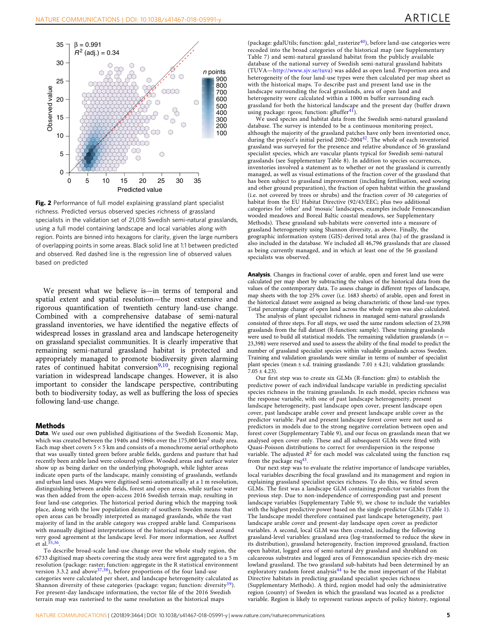<span id="page-4-0"></span>

Fig. 2 Performance of full model explaining grassland plant specialist richness. Predicted versus observed species richness of grassland specialists in the validation set of 21,018 Swedish semi-natural grasslands, using a full model containing landscape and local variables along with region. Points are binned into hexagons for clarity, given the large numbers of overlapping points in some areas. Black solid line at 1:1 between predicted and observed. Red dashed line is the regression line of observed values based on predicted

We present what we believe is—in terms of temporal and spatial extent and spatial resolution—the most extensive and rigorous quantification of twentieth century land-use change. Combined with a comprehensive database of semi-natural grassland inventories, we have identified the negative effects of widespread losses in grassland area and landscape heterogeneity on grassland specialist communities. It is clearly imperative that remaining semi-natural grassland habitat is protected and appropriately managed to promote biodiversity given alarming rates of continued habitat conversion $9,10$  $9,10$  $9,10$ , recognising regional variation in widespread landscape changes. However, it is also important to consider the landscape perspective, contributing both to biodiversity today, as well as buffering the loss of species following land-use change.

### Methods

Data. We used our own published digitisations of the Swedish Economic Map, which was created between the 1940s and 1960s over the 175,000 km<sup>2</sup> study area. Each map sheet covers  $5 \times 5$  km and consists of a monochrome aerial orthophoto that was usually tinted green before arable fields, gardens and pasture that had recently been arable land were coloured yellow. Wooded areas and surface water show up as being darker on the underlying photograph, while lighter areas indicate open parts of the landscape, mainly consisting of grasslands, wetlands and urban land uses. Maps were digitised semi-automatically at a 1 m resolution, distinguishing between arable fields, forest and open areas, while surface water was then added from the open-access 2016 Swedish terrain map, resulting in four land-use categories. The historical period during which the mapping took place, along with the low population density of southern Sweden means that open areas can be broadly interpreted as managed grasslands, while the vast majority of land in the arable category was cropped arable land. Comparisons with manually digitised interpretations of the historical maps showed around very good agreement at the landscape level. For more information, see Auffret et al.[35,36](#page-5-0).

To describe broad-scale land-use change over the whole study region, the 6733 digitised map sheets covering the study area were first aggregated to a 5 m resolution (package: raster; function: aggregate in the R statistical environment version 3.3.2 and above  $37,38$  $37,38$ ), before proportions of the four land-use categories were calculated per sheet, and landscape heterogeneity calculated as Shannon diversity of these categories (package: vegan; function: diversity<sup>39</sup>). For present-day landscape information, the vector file of the 2016 Swedish terrain map was rasterised to the same resolution as the historical maps

(package: gdalUtils; function: gdal\_rasterize $^{40}$  $^{40}$  $^{40}$ ), before land-use categories were recoded into the broad categories of the historical map (see Supplementary Table 7) and semi-natural grassland habitat from the publicly available database of the national survey of Swedish semi-natural grassland habitats (TUVA—<http://www.sjv.se/tuva>) was added as open land. Proportion area and heterogeneity of the four land-use types were then calculated per map sheet as with the historical maps. To describe past and present land use in the landscape surrounding the focal grasslands, area of open land and heterogeneity were calculated within a 1000 m buffer surrounding each grassland for both the historical landscape and the present day (buffer drawn using package: rgeos; function:  $gBuffer^{4l}$ ).

We used species and habitat data from the Swedish semi-natural grassland database. The survey is intended to be a continuous monitoring project, although the majority of the grassland patches have only been inventoried once, during the project's initial period 2002–2004[42.](#page-5-0) The whole of each inventoried grassland was surveyed for the presence and relative abundance of 56 grassland specialist species, which are vascular plants typical for Swedish semi-natural grasslands (see Supplementary Table 8). In addition to species occurrences, inventories involved a statement as to whether or not the grassland is currently managed, as well as visual estimations of the fraction cover of the grassland that has been subject to grassland improvement (including fertilisation, seed sowing and other ground preparation), the fraction of open habitat within the grassland (i.e. not covered by trees or shrubs) and the fraction cover of 30 categories of habitat from the EU Habitat Directive (92/43/EEC; plus two additional categories for 'other' and 'mosaic' landscapes, examples include Fennoscandian wooded meadows and Boreal Baltic coastal meadows, see Supplementary Methods). These grassland sub-habitats were converted into a measure of grassland heterogeneity using Shannon diversity, as above. Finally, the geographic information system (GIS)-derived total area (ha) of the grassland is also included in the database. We included all 46,796 grasslands that are classed as being currently managed, and in which at least one of the 56 grassland specialists was observed.

Analysis. Changes in fractional cover of arable, open and forest land use were calculated per map sheet by subtracting the values of the historical data from the values of the contemporary data. To assess change in different types of landscape, map sheets with the top 25% cover (i.e. 1683 sheets) of arable, open and forest in the historical dataset were assigned as being characteristic of those land-use types. Total percentage change of open land across the whole region was also calculated.

The analysis of plant specialist richness in managed semi-natural grasslands consisted of three steps. For all steps, we used the same random selection of 23,398 grasslands from the full dataset (R-function: sample). These training grasslands were used to build all statistical models. The remaining validation grasslands ( $n =$ 23,398) were reserved and used to assess the ability of the final model to predict the number of grassland specialist species within valuable grasslands across Sweden. Training and validation grasslands were similar in terms of number of specialist plant species (mean  $\pm$  s.d. training grasslands: 7.01  $\pm$  4.21; validation grasslands:  $7.05 \pm 4.23$ 

Our first step was to create six GLMs (R-function: glm) to establish the predictive power of each individual landscape variable in predicting specialist species richness in the training grasslands. In each model, species richness was the response variable, with one of past landscape heterogeneity, present landscape heterogeneity, past landscape open cover, present landscape open cover, past landscape arable cover and present landscape arable cover as the predictor variable. Past and present landscape forest cover were not used as predictors in models due to the strong negative correlation between open and forest cover (Supplementary Table 9), and our focus on grasslands mean that we analysed open cover only. These and all subsequent GLMs were fitted with Quasi-Poisson distributions to correct for overdispersion in the response variable. The adjusted  $R^2$  for each model was calculated using the function rsq from the package  $\text{rsq}^{43}$ .

Our next step was to evaluate the relative importance of landscape variables, local variables describing the focal grassland and its management and region in explaining grassland specialist species richness. To do this, we fitted seven GLMs. The first was a landscape GLM containing predictor variables from the previous step. Due to non-independence of corresponding past and present landscape variables (Supplementary Table 9), we chose to include the variables with the highest predictive power based on the single-predictor GLMs (Table [1](#page-2-0)). The landscape model therefore contained past landscape heterogeneity, past landscape arable cover and present-day landscape open cover as predictor variables. A second, local GLM was then created, including the following grassland-level variables: grassland area (log-transformed to reduce the skew in its distribution), grassland heterogeneity, fraction improved grassland, fraction open habitat, logged area of semi-natural dry grassland and shrubland on calcareous substrates and logged area of Fennoscandian species-rich dry-mesic lowland grassland. The two grassland sub-habitats had been determined by an exploratory random forest analysis<sup>[44](#page-5-0)</sup> to be the most important of the Habitat Directive habitats in predicting grassland specialist species richness (Supplementary Methods). A third, region model had only the administrative region (county) of Sweden in which the grassland was located as a predictor variable. Region is likely to represent various aspects of policy history, regional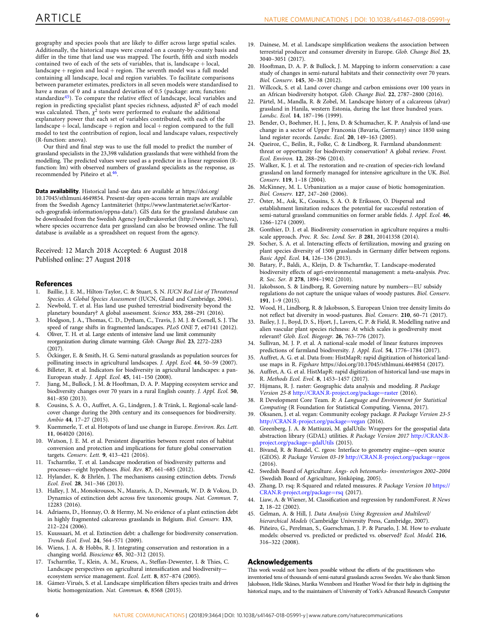<span id="page-5-0"></span>geography and species pools that are likely to differ across large spatial scales. Additionally, the historical maps were created on a county-by-county basis and differ in the time that land use was mapped. The fourth, fifth and sixth models contained two of each of the sets of variables, that is, landscape + local, landscape  $+$  region and local  $+$  region. The seventh model was a full model containing all landscape, local and region variables. To facilitate comparisons between parameter estimates, predictors in all seven models were standardised to have a mean of 0 and a standard deviation of 0.5 (package: arm; function: standardize<sup>45</sup>). To compare the relative effect of landscape, local variables and region in predicting specialist plant species richness, adjusted  $R<sup>2</sup>$  of each model was calculated. Then,  $\chi^2$  tests were performed to evaluate the additional explanatory power that each set of variables contributed, with each of the  $landscape + local$ , landscape + region and  $local + region$  compared to the full model to test the contribution of region, local and landscape values, respectively (R-function: anova).

Our third and final step was to use the full model to predict the number of grassland specialists in the 23,398 validation grasslands that were withheld from the modelling. The predicted values were used as a predictor in a linear regression (Rfunction: lm) with observed numbers of grassland specialists as the response, as recommended by Piñeiro et al.<sup>46</sup>.

Data availability. Historical land-use data are available at https://doi.org/ 10.17045/sthlmuni.4649854. Present-day open-access terrain maps are available from the Swedish Agency Lantmäteriet (https://www.lantmateriet.se/sv/Kartoroch-geografisk-information/oppna-data/). GIS data for the grassland database can be downloaded from the Swedish Agency Jordbruksverket (http://www.sjv.se/tuva), where species occurrence data per grassland can also be browsed online. The full database is available as a spreadsheet on request from the agency.

Received: 12 March 2018 Accepted: 6 August 2018 Published online: 27 August 2018

### References

- 1. Baillie, J. E. M., Hilton-Taylor, C. & Stuart, S. N. IUCN Red List of Threatened Species. A Global Species Assessment (IUCN, Gland and Cambridge, 2004).
- 2. Newbold, T. et al. Has land use pushed terrestrial biodiversity beyond the planetary boundary? A global assessment. Science 353, 288–291 (2016).
- 3. Hodgson, J. A., Thomas, C. D., Dytham, C., Travis, J. M. J. & Cornell, S. J. The speed of range shifts in fragmented landscapes. PLoS ONE 7, e47141 (2012). 4. Oliver, T. H. et al. Large extents of intensive land use limit community
- reorganization during climate warming. Glob. Change Biol. 23, 2272–2283 (2017).
- 5. Öckinger, E. & Smith, H. G. Semi-natural grasslands as population sources for pollinating insects in agricultural landscapes. J. Appl. Ecol. 44, 50–59 (2007).
- 6. Billeter, R. et al. Indicators for biodiversity in agricultural landscapes: a pan-European study. J. Appl. Ecol. 45, 141–150 (2008).
- 7. Jiang, M., Bullock, J. M. & Hooftman, D. A. P. Mapping ecosystem service and biodiversity changes over 70 years in a rural English county. J. Appl. Ecol. 50, 841–850 (2013).
- 8. Cousins, S. A. O., Auffret, A. G., Lindgren, J. & Tränk, L. Regional-scale landcover change during the 20th century and its consequences for biodiversity. Ambio 44, 17–27 (2015).
- 9. Kuemmerle, T. et al. Hotspots of land use change in Europe. Environ. Res. Lett. 11, 064020 (2016).
- 10. Watson, J. E. M. et al. Persistent disparities between recent rates of habitat conversion and protection and implications for future global conservation targets. Conserv. Lett. 9, 413–421 (2016).
- 11. Tscharntke, T. et al. Landscape moderation of biodiversity patterns and processes—eight hypotheses. Biol. Rev. 87, 661–685 (2012).
- 12. Hylander, K. & Ehrlén, J. The mechanisms causing extinction debts. Trends Ecol. Evol. 28, 341–346 (2013).
- 13. Halley, J. M., Monokrousos, N., Mazaris, A. D., Newmark, W. D. & Vokou, D. Dynamics of extinction debt across five taxonomic groups. Nat. Commun. 7, 12283 (2016).
- 14. Adriaens, D., Honnay, O. & Hermy, M. No evidence of a plant extinction debt in highly fragmented calcareous grasslands in Belgium. Biol. Conserv. 133, 212–224 (2006).
- Kuussaari, M. et al. Extinction debt: a challenge for biodiversity conservation. Trends Ecol. Evol. 24, 564–571 (2009).
- 16. Wiens, J. A. & Hobbs, R. J. Integrating conservation and restoration in a changing world. Bioscience 65, 302–312 (2015).
- 17. Tscharntke, T., Klein, A. M., Kruess, A., Steffan-Dewenter, I. & Thies, C. Landscape perspectives on agricultural intensification and biodiversity ecosystem service management. Ecol. Lett. 8, 857–874 (2005).
- 18. Gámez-Virués, S. et al. Landscape simplification filters species traits and drives biotic homogenization. Nat. Commun. 6, 8568 (2015).
- 19. Dainese, M. et al. Landscape simplification weakens the association between terrestrial producer and consumer diversity in Europe. Glob. Change Biol. 23, 3040–3051 (2017).
- 20. Hooftman, D. A. P. & Bullock, J. M. Mapping to inform conservation: a case study of changes in semi-natural habitats and their connectivity over 70 years. Biol. Conserv. 145, 30–38 (2012).
- 21. Willcock, S. et al. Land cover change and carbon emissions over 100 years in an African biodiversity hotspot. Glob. Change Biol. 22, 2787–2800 (2016).
- 22. Pärtel, M., Mandla, R. & Zobel, M. Landscape history of a calcareous (alvar) grassland in Hanila, western Estonia, during the last three hundred years. Landsc. Ecol. 14, 187–196 (1999).
- 23. Bender, O., Boehmer, H. J., Jens, D. & Schumacher, K. P. Analysis of land-use change in a sector of Upper Franconia (Bavaria, Germany) since 1850 using land register records. Landsc. Ecol. 20, 149–163 (2005).
- Queiroz, C., Beilin, R., Folke, C. & Lindborg, R. Farmland abandonment: threat or opportunity for biodiversity conservation? A global review. Front. Ecol. Environ. 12, 288–296 (2014).
- 25. Walker, K. J. et al. The restoration and re-creation of species-rich lowland grassland on land formerly managed for intensive agriculture in the UK. Biol. Conserv. 119, 1–18 (2004).
- 26. McKinney, M. L. Urbanization as a major cause of biotic homogenization. Biol. Conserv. 127, 247–260 (2006).
- 27. Öster, M., Ask, K., Cousins, S. A. O. & Eriksson, O. Dispersal and establishment limitation reduces the potential for successful restoration of semi-natural grassland communities on former arable fields. J. Appl. Ecol. 46, 1266–1274 (2009).
- 28. Gonthier, D. J. et al. Biodiversity conservation in agriculture requires a multiscale approach. Proc. R. Soc. Lond. Ser. B 281, 20141358 (2014).
- 29. Socher, S. A. et al. Interacting effects of fertilization, mowing and grazing on plant species diversity of 1500 grasslands in Germany differ between regions. Basic Appl. Ecol. 14, 126–136 (2013).
- 30. Batary, P., Baldi, A., Kleijn, D. & Tscharntke, T. Landscape-moderated biodiversity effects of agri-environmental management: a meta-analysis. Proc. R. Soc. Ser. B 278, 1894–1902 (2010).
- 31. Jakobsson, S. & Lindborg, R. Governing nature by numbers—EU subsidy regulations do not capture the unique values of woody pastures. Biol. Conserv. 191, 1–9 (2015).
- 32. Wood, H., Lindborg, R. & Jakobsson, S. European Union tree density limits do not reflect bat diversity in wood-pastures. Biol. Conserv. 210, 60–71 (2017).
- 33. Bailey, J. J., Boyd, D. S., Hjort, J., Lavers, C. P. & Field, R. Modelling native and alien vascular plant species richness: At which scales is geodiversity most relevant? Glob. Ecol. Biogeogr. 26, 763–776 (2017).
- 34. Sullivan, M. J. P. et al. A national-scale model of linear features improves predictions of farmland biodiversity. J. Appl. Ecol. 54, 1776-1784 (2017).
- 35. Auffret, A. G. et al. Data from: HistMapR: rapid digitization of historical landuse maps in R. Figshare https://doi.org/10.17045/sthlmuni.4649854 (2017).
- 36. Auffret, A. G. et al. HistMapR: rapid digitization of historical land-use maps in R. Methods Ecol. Evol. 8, 1453–1457 (2017).
- 37. Hijmans, R. J. raster: Geographic data analysis and modeling. R Package Version 25-8 [http://CRAN.R-project.org/package](http://CRAN.R-project.org/package=raster)=raster (2016).
- 38. R Development Core Team. R: A Language and Environment for Statistical Computing (R Foundation for Statistical Computing, Vienna, 2017).
- 39. Oksanen, J. et al. vegan: Community ecology package. R Package Version 23-5 [http://CRAN.R-project.org/package](http://CRAN.R-project.org/package=vegan)=vegan (2016).
- 40. Greenberg, J. A. & Mattiuzzi, M. gdalUtils: Wrappers for the geospatial data abstraction library (GDAL) utilities. R Package Version 2017 [http://CRAN.R](http://CRAN.R-project.org/package=gdalUtils)[project.org/package](http://CRAN.R-project.org/package=gdalUtils)=gdalUtils (2015).
- 41. Bivand, R. & Rundel, C. rgeos: Interface to geometry engine—open source (GEOS). R Package Version 03-19 [http://CRAN.R-project.org/package](http://CRAN.R-project.org/package=rgeos)=rgeos  $(2016)$
- 42. Swedish Board of Agriculture. Ängs- och betesmarks- inventeringen 2002–2004 (Swedish Board of Agriculture, Jönköping, 2005).
- 43. Zhang, D. rsq: R-Squared and related measures. R Package Version 10 [https://](https://CRAN.R-project.org/package=rsq) [CRAN.R-project.org/package](https://CRAN.R-project.org/package=rsq)=rsq (2017).
- 44. Liaw, A. & Wiener, M. Classification and regression by randomForest. R News 2, 18–22 (2002).
- 45. Gelman, A. & Hill, J. Data Analysis Using Regression and Multilevel/ hierarchical Models (Cambridge University Press, Cambridge, 2007).
- 46. Piñeiro, G., Perelman, S., Guerschman, J. P. & Paruelo, J. M. How to evaluate models: observed vs. predicted or predicted vs. observed? Ecol. Model. 216, 316–322 (2008).

### Acknowledgements

This work would not have been possible without the efforts of the practitioners who inventoried tens of thousands of semi-natural grasslands across Sweden. We also thank Simon Jakobsson, Helle Skånes, Marika Wennbom and Heather Wood for their help in digitising the historical maps, and to the maintainers of University of York's Advanced Research Computer